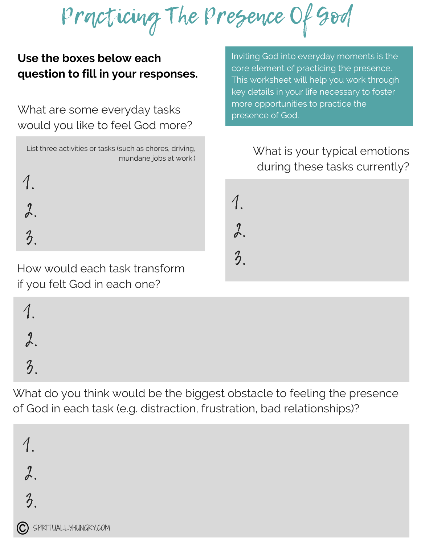Practicing The Presence Of God

## **Use the boxes below each question to fill in your responses.**

What are some everyday tasks would you like to feel God more?

| List three activities or tasks (such as chores, driving, | mundane jobs at work.) |
|----------------------------------------------------------|------------------------|
|                                                          |                        |
|                                                          |                        |
|                                                          |                        |

Inviting God into everyday moments is the core element of practicing the presence. This worksheet will help you work through key details in your life necessary to foster more opportunities to practice the presence of God.

## What is your typical emotions during these tasks currently?



How would each task transform if you felt God in each one?

1. 2. 3.

What do you think would be the biggest obstacle to feeling the presence of God in each task (e.g. distraction, frustration, bad relationships)?